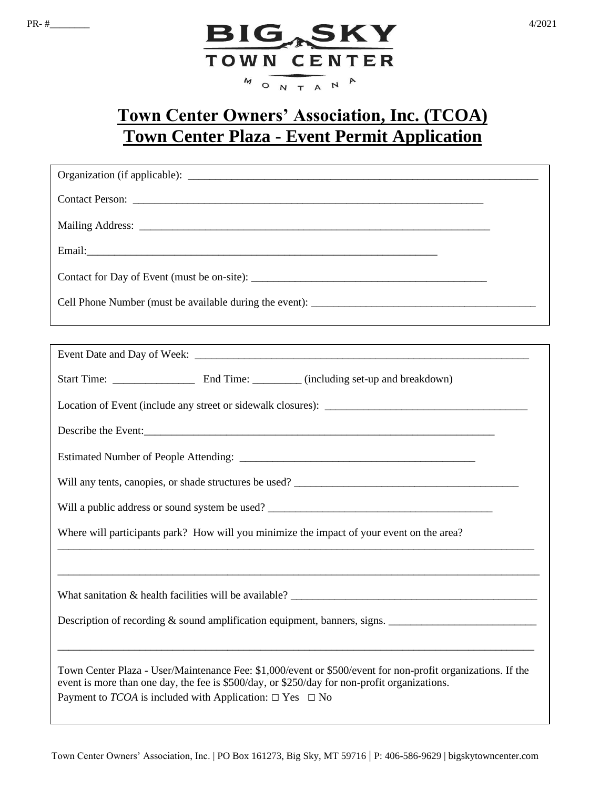

## **Town Center Owners' Association, Inc. (TCOA) Town Center Plaza - Event Permit Application**

| ,我们也不会有什么。""我们的人,我们也不会有什么?""我们的人,我们也不会有什么?""我们的人,我们也不会有什么?""我们的人,我们也不会有什么?""我们的人                                                                                                                                                                                                         |  |  |  |  |
|------------------------------------------------------------------------------------------------------------------------------------------------------------------------------------------------------------------------------------------------------------------------------------------|--|--|--|--|
|                                                                                                                                                                                                                                                                                          |  |  |  |  |
|                                                                                                                                                                                                                                                                                          |  |  |  |  |
|                                                                                                                                                                                                                                                                                          |  |  |  |  |
| Describe the Event:                                                                                                                                                                                                                                                                      |  |  |  |  |
|                                                                                                                                                                                                                                                                                          |  |  |  |  |
|                                                                                                                                                                                                                                                                                          |  |  |  |  |
|                                                                                                                                                                                                                                                                                          |  |  |  |  |
| Where will participants park? How will you minimize the impact of your event on the area?                                                                                                                                                                                                |  |  |  |  |
|                                                                                                                                                                                                                                                                                          |  |  |  |  |
|                                                                                                                                                                                                                                                                                          |  |  |  |  |
| Description of recording $&$ sound amplification equipment, banners, signs. $\Box$                                                                                                                                                                                                       |  |  |  |  |
|                                                                                                                                                                                                                                                                                          |  |  |  |  |
| Town Center Plaza - User/Maintenance Fee: \$1,000/event or \$500/event for non-profit organizations. If the<br>event is more than one day, the fee is \$500/day, or \$250/day for non-profit organizations.<br>Payment to <i>TCOA</i> is included with Application: $\Box$ Yes $\Box$ No |  |  |  |  |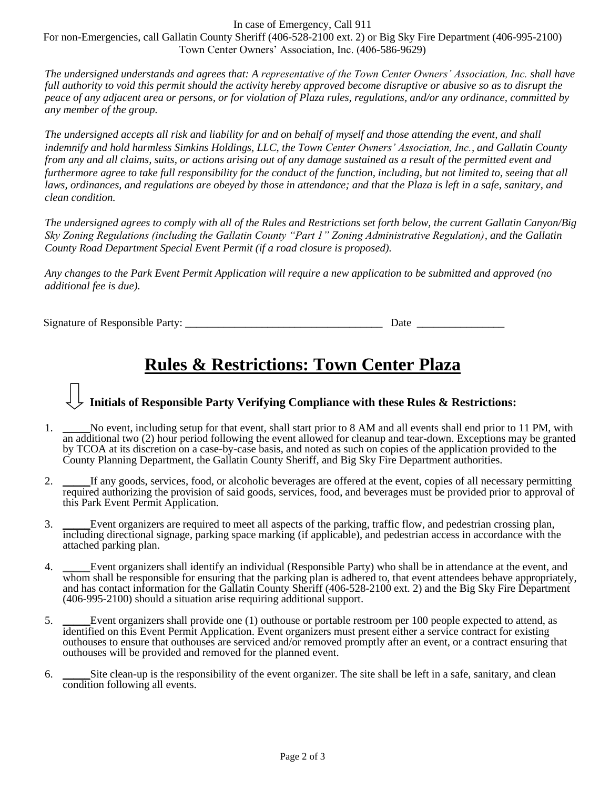In case of Emergency, Call 911

For non-Emergencies, call Gallatin County Sheriff (406-528-2100 ext. 2) or Big Sky Fire Department (406-995-2100) Town Center Owners' Association, Inc. (406-586-9629)

*The undersigned understands and agrees that: A representative of the Town Center Owners' Association, Inc. shall have full authority to void this permit should the activity hereby approved become disruptive or abusive so as to disrupt the peace of any adjacent area or persons, or for violation of Plaza rules, regulations, and/or any ordinance, committed by any member of the group.*

*The undersigned accepts all risk and liability for and on behalf of myself and those attending the event, and shall indemnify and hold harmless Simkins Holdings, LLC, the Town Center Owners' Association, Inc., and Gallatin County from any and all claims, suits, or actions arising out of any damage sustained as a result of the permitted event and furthermore agree to take full responsibility for the conduct of the function, including, but not limited to, seeing that all*  laws, ordinances, and regulations are obeyed by those in attendance; and that the Plaza is left in a safe, sanitary, and *clean condition.*

*The undersigned agrees to comply with all of the Rules and Restrictions set forth below, the current Gallatin Canyon/Big Sky Zoning Regulations (including the Gallatin County "Part 1" Zoning Administrative Regulation), and the Gallatin County Road Department Special Event Permit (if a road closure is proposed).*

*Any changes to the Park Event Permit Application will require a new application to be submitted and approved (no additional fee is due).* 

Signature of Responsible Party: \_\_\_\_\_\_\_\_\_\_\_\_\_\_\_\_\_\_\_\_\_\_\_\_\_\_\_\_\_\_\_\_\_\_\_\_ Date \_\_\_\_\_\_\_\_\_\_\_\_\_\_\_\_

## **Rules & Restrictions: Town Center Plaza**

## **Initials of Responsible Party Verifying Compliance with these Rules & Restrictions:**

- 1. \_\_\_\_\_No event, including setup for that event, shall start prior to 8 AM and all events shall end prior to 11 PM, with an additional two (2) hour period following the event allowed for cleanup and tear-down. Exceptions may be granted by TCOA at its discretion on a case-by-case basis, and noted as such on copies of the application provided to the County Planning Department, the Gallatin County Sheriff, and Big Sky Fire Department authorities.
- 2. \_\_\_\_\_If any goods, services, food, or alcoholic beverages are offered at the event, copies of all necessary permitting required authorizing the provision of said goods, services, food, and beverages must be provided prior to approval of this Park Event Permit Application*.*
- 3. \_\_\_\_\_Event organizers are required to meet all aspects of the parking, traffic flow, and pedestrian crossing plan, including directional signage, parking space marking (if applicable), and pedestrian access in accordance with the attached parking plan.
- 4. \_\_\_\_\_Event organizers shall identify an individual (Responsible Party) who shall be in attendance at the event, and whom shall be responsible for ensuring that the parking plan is adhered to, that event attendees behave appropriately, and has contact information for the Gallatin County Sheriff (406-528-2100 ext. 2) and the Big Sky Fire Department (406-995-2100) should a situation arise requiring additional support.
- 5. Event organizers shall provide one (1) outhouse or portable restroom per 100 people expected to attend, as identified on this Event Permit Application. Event organizers must present either a service contract for existing outhouses to ensure that outhouses are serviced and/or removed promptly after an event, or a contract ensuring that outhouses will be provided and removed for the planned event.
- 6. \_\_\_\_\_Site clean-up is the responsibility of the event organizer. The site shall be left in a safe, sanitary, and clean condition following all events.